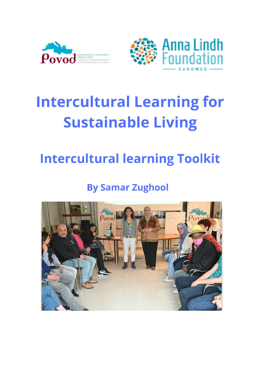



# **Intercultural Learning for Sustainable Living**

## **Intercultural learning Toolkit**

## **By Samar Zughool**

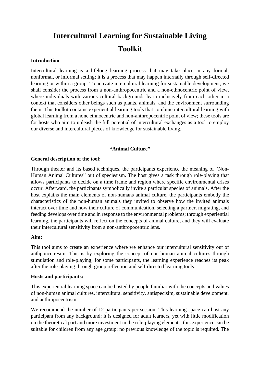### **Intercultural Learning for Sustainable Living Toolkit**

#### **Introduction**

Intercultural learning is a lifelong learning process that may take place in any formal, nonformal, or informal setting; it is a process that may happen internally through self-directed learning or within a group. To activate intercultural learning for sustainable development, we shall consider the process from a non-anthropocentric and a non-ethnocentric point of view, where individuals with various cultural backgrounds learn inclusively from each other in a context that considers other beings such as plants, animals, and the environment surrounding them. This toolkit contains experiential learning tools that combine intercultural learning with global learning from a none ethnocentric and non-anthropocentric point of view; these tools are for hosts who aim to unleash the full potential of intercultural exchanges as a tool to employ our diverse and intercultural pieces of knowledge for sustainable living.

#### **"Animal Culture"**

#### **General description of the tool:**

Through theater and its based techniques, the participants experience the meaning of "Non-Human Animal Cultures" out of speciesism. The host gives a task through role-playing that allows participants to decide on a time frame and region where specific environmental crises occur. Afterward, the participants symbolically invite a particular species of animals. After the host explains the main elements of non-humans animal culture, the participants embody the characteristics of the non-human animals they invited to observe how the invited animals interact over time and how their culture of communication, selecting a partner, migrating, and feeding develops over time and in response to the environmental problems; through experiential learning, the participants will reflect on the concepts of animal culture, and they will evaluate their intercultural sensitivity from a non-anthropocentric lens.

#### **Aim:**

This tool aims to create an experience where we enhance our intercultural sensitivity out of anthponcetresim. This is by exploring the concept of non-human animal cultures through stimulation and role-playing; for some participants, the learning experience reaches its peak after the role-playing through group reflection and self-directed learning tools.

#### **Hosts and participants:**

This experiential learning space can be hosted by people familiar with the concepts and values of non-human animal cultures, intercultural sensitivity, antispecisim, sustainable development, and anthropocentrism.

We recommend the number of 12 participants per session. This learning space can host any participant from any background; it is designed for adult learners, yet with little modification on the theoretical part and more investment in the role-playing elements, this experience can be suitable for children from any age group; no previous knowledge of the topic is required. The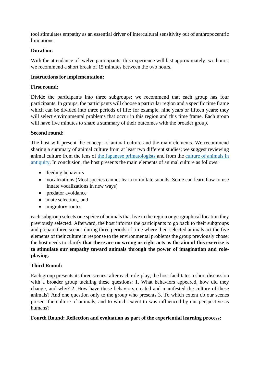tool stimulates empathy as an essential driver of intercultural sensitivity out of anthropocentric limitations.

#### **Duration:**

With the attendance of twelve participants, this experience will last approximately two hours; we recommend a short break of 15 minutes between the two hours.

#### **Instructions for implementation:**

#### **First round:**

Divide the participants into three subgroups; we recommend that each group has four participants. In groups, the participants will choose a particular region and a specific time frame which can be divided into three periods of life; for example, nine years or fifteen years; they will select environmental problems that occur in this region and this time frame. Each group will have five minutes to share a summary of their outcomes with the broader group.

#### **Second round:**

The host will present the concept of animal culture and the main elements. We recommend sharing a summary of animal culture from at least two different studies; we suggest reviewing animal culture from the lens of the Japanese [primatologists a](https://www.smithsonianmag.com/science-nature/japan-wild-snow-monkeys-teach-scientits-how-animals-pass-skills-180976488/)nd from the [culture of animals in](https://www.routledge.com/The-Culture-of-Animals-in-Antiquity-A-Sourcebook-with-Commentaries/Lewis-Llewellyn-Jones/p/book/9780367580940)  [antiquity.](https://www.routledge.com/The-Culture-of-Animals-in-Antiquity-A-Sourcebook-with-Commentaries/Lewis-Llewellyn-Jones/p/book/9780367580940) In conclusion, the host presents the main elements of animal culture as follows:

- feeding behaviors
- vocalizations (Most species cannot learn to imitate sounds. Some can learn how to use innate vocalizations in new ways)
- predator avoidance
- mate selection,, and
- migratory routes

each subgroup selects one speice of animals that live in the region or geographical location they previously selected. Afterward, the host informs the participants to go back to their subgroups and prepare three scenes during three periods of time where their selected animals act the five elements of their culture in response to the environmental problems the group previously chose; the host needs to clarify **that there are no wrong or right acts as the aim of this exercise is to stimulate our empathy toward animals through the power of imagination and roleplaying.** 

#### **Third Round:**

Each group presents its three scenes; after each role-play, the host facilitates a short discussion with a broader group tackling these questions: 1. What behaviors appeared, how did they change, and why? 2. How have these behaviors created and manifested the culture of these animals? And one question only to the group who presents 3. To which extent do our scenes present the culture of animals, and to which extent to was influenced by our perspective as humans?

#### **Fourth Round: Reflection and evaluation as part of the experiential learning process:**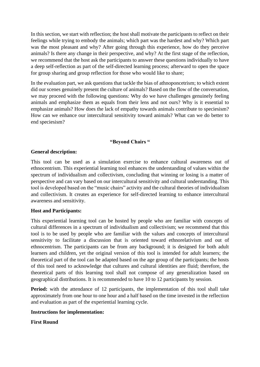In this section, we start with reflection; the host shall motivate the participants to reflect on their feelings while trying to embody the animals; which part was the hardest and why? Which part was the most pleasant and why? After going through this experience, how do they perceive animals? Is there any change in their perspective, and why? At the first stage of the reflection, we recommend that the host ask the participants to answer these questions individually to have a deep self-reflection as part of the self-directed learning process; afterward to open the space for group sharing and group reflection for those who would like to share;

In the evaluation part, we ask questions that tackle the bias of athnoponcetrism; to which extent did our scenes genuinely present the culture of animals? Based on the flow of the conversation, we may proceed with the following questions: Why do we have challenges genuinely feeling animals and emphasize them as equals from their lens and not ours? Why is it essential to emphasize animals? How does the lack of empathy towards animals contribute to speciesism? How can we enhance our intercultural sensitivity toward animals? What can we do better to end speciesism?

#### **"Beyond Chairs "**

#### **General description:**

This tool can be used as a simulation exercise to enhance cultural awareness out of ethnocentrism. This experiential learning tool enhances the understanding of values within the spectrum of individualism and collectivism, concluding that winning or losing is a matter of perspective and can vary based on our intercultural sensitivity and cultural understanding. This tool is developed based on the "music chairs" activity and the cultural theories of individualism and collectivism. It creates an experience for self-directed learning to enhance intercultural awareness and sensitivity.

#### **Host and Participants:**

This experiential learning tool can be hosted by people who are familiar with concepts of cultural differences in a spectrum of individualism and collectivism; we recommend that this tool is to be used by people who are familiar with the values and concepts of intercultural sensitivity to facilitate a discussion that is oriented toward ethnorelativism and out of ethnocentrism. The participants can be from any background; it is designed for both adult learners and children, yet the original version of this tool is intended for adult learners; the theoretical part of the tool can be adapted based on the age group of the participants; the hosts of this tool need to acknowledge that cultures and cultural identities are fluid; therefore, the theoretical parts of this learning tool shall not compose of any generalization based on geographical distributions. It is recommended to have 10 to 12 participants by session.

Period: with the attendance of 12 participants, the implementation of this tool shall take approximately from one hour to one hour and a half based on the time invested in the reflection and evaluation as part of the experiential learning cycle.

#### **Instructions for implementation:**

#### **First Round**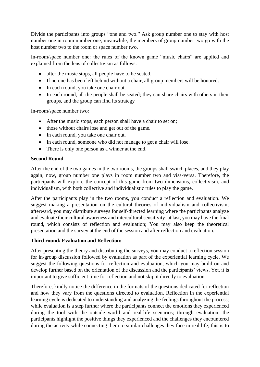Divide the participants into groups "one and two." Ask group number one to stay with host number one in room number one; meanwhile, the members of group number two go with the host number two to the room or space number two.

In-room/space number one: the rules of the known game "music chairs" are applied and explained from the lens of collectivism as follows:

- after the music stops, all people have to be seated.
- If no one has been left behind without a chair, all group members will be honored.
- In each round, you take one chair out.
- In each round, all the people shall be seated; they can share chairs with others in their groups, and the group can find its strategy

In-room/space number two:

- After the music stops, each person shall have a chair to set on;
- those without chairs lose and get out of the game.
- In each round, you take one chair out.
- In each round, someone who did not manage to get a chair will lose.
- There is only one person as a winner at the end.

#### **Second Round**

After the end of the two games in the two rooms, the groups shall switch places, and they play again; now, group number one plays in room number two and visa-versa. Therefore, the participants will explore the concept of this game from two dimensions, collectivism, and individualism, with both collective and individualistic rules to play the game.

After the participants play in the two rooms, you conduct a reflection and evaluation. We suggest making a presentation on the cultural theories of individualism and collectivism; afterward, you may distribute surveys for self-directed learning where the participants analyze and evaluate their cultural awareness and intercultural sensitivity; at last, you may have the final round, which consists of reflection and evaluation; You may also keep the theoretical presentation and the survey at the end of the session and after reflection and evaluation.

#### **Third round/ Evaluation and Reflection:**

After presenting the theory and distributing the surveys, you may conduct a reflection session for in-group discussion followed by evaluation as part of the experiential learning cycle. We suggest the following questions for reflection and evaluation, which you may build on and develop further based on the orientation of the discussion and the participants' views. Yet, it is important to give sufficient time for reflection and not skip it directly to evaluation.

Therefore, kindly notice the difference in the formats of the questions dedicated for reflection and how they vary from the questions directed to evaluation. Reflection in the experiential learning cycle is dedicated to understanding and analyzing the feelings throughout the process; while evaluation is a step further where the participants connect the emotions they experienced during the tool with the outside world and real-life scenarios; through evaluation, the participants highlight the positive things they experienced and the challenges they encountered during the activity while connecting them to similar challenges they face in real life; this is to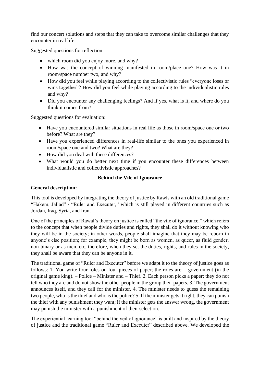find our concert solutions and steps that they can take to overcome similar challenges that they encounter in real life.

Suggested questions for reflection:

- which room did you enjoy more, and why?
- How was the concept of winning manifested in room/place one? How was it in room/space number two, and why?
- How did you feel while playing according to the collectivistic rules "everyone loses or wins together"? How did you feel while playing according to the individualistic rules and why?
- Did you encounter any challenging feelings? And if yes, what is it, and where do you think it comes from?

Suggested questions for evaluation:

- Have you encountered similar situations in real life as those in room/space one or two before? What are they?
- Have you experienced differences in real-life similar to the ones you experienced in room/space one and two? What are they?
- How did you deal with these differences?
- What would you do better next time if you encounter these differences between individualistic and collectivistic approaches?

#### **Behind the Vile of Ignorance**

#### **General description:**

This tool is developed by integrating the theory of justice by Rawls with an old traditional game "Hakem, Jallad" / "Ruler and Executer," which is still played in different countries such as Jordan, Iraq, Syria, and Iran.

One of the principles of Rawal's theory on justice is called "the vile of ignorance," which refers to the concept that when people divide duties and rights, they shall do it without knowing who they will be in the society; in other words, people shall imagine that they may be reborn in anyone's else position; for example, they might be born as women, as queer, as fluid gender, non-binary or as men, etc. therefore, when they set the duties, rights, and rules in the society, they shall be aware that they can be anyone in it.

The traditional game of "Ruler and Executer" before we adapt it to the theory of justice goes as follows: 1. You write four roles on four pieces of paper; the roles are: - government (in the original game king). – Police – Minister and – Thief. 2. Each person picks a paper; they do not tell who they are and do not show the other people in the group their papers. 3. The government announces itself, and they call for the minister. 4. The minister needs to guess the remaining two people, who is the thief and who is the police? 5. If the minister gets it right, they can punish the thief with any punishment they want; if the minister gets the answer wrong, the government may punish the minister with a punishment of their selection.

The experiential learning tool "behind the veil of ignorance" is built and inspired by the theory of justice and the traditional game "Ruler and Executer" described above. We developed the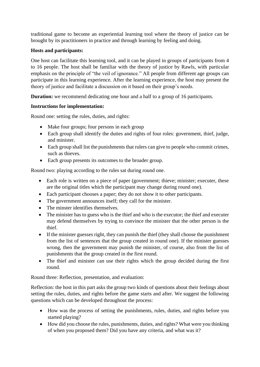traditional game to become an experiential learning tool where the theory of justice can be brought by its practitioners in practice and through learning by feeling and doing.

#### **Hosts and participants:**

One host can facilitate this learning tool, and it can be played in groups of participants from 4 to 16 people. The host shall be familiar with the theory of justice by Rawls, with particular emphasis on the principle of "the veil of ignorance." All people from different age groups can participate in this learning experience. After the learning experience, the host may present the theory of justice and facilitate a discussion on it based on their group's needs.

**Duration:** we recommend dedicating one hour and a half to a group of 16 participants.

#### **Instructions for implementation:**

Round one: setting the rules, duties, and rights:

- Make four groups; four persons in each group
- Each group shall identify the duties and rights of four roles: government, thief, judge, and minister.
- Each group shall list the punishments that rulers can give to people who commit crimes, such as thieves.
- Each group presents its outcomes to the broader group.

Round two: playing according to the rules sat during round one.

- Each role is written on a piece of paper (government; thieve; minister; executer, these are the original titles which the participant may change during round one).
- Each participant chooses a paper; they do not show it to other participants.
- The government announces itself; they call for the minister.
- The minster identifies themselves.
- The minister has to guess who is the thief and who is the executor; the thief and executer may defend themselves by trying to convince the minister that the other person is the thief.
- If the minister guesses right, they can punish the thief (they shall choose the punishment from the list of sentences that the group created in round one). If the minister guesses wrong, then the government may punish the minister, of course, also from the list of punishments that the group created in the first round.
- The thief and minister can use their rights which the group decided during the first round.

Round three: Reflection, presentation, and evaluation:

Reflection: the host in this part asks the group two kinds of questions about their feelings about setting the rules, duties, and rights before the game starts and after. We suggest the following questions which can be developed throughout the process:

- How was the process of setting the punishments, rules, duties, and rights before you started playing?
- How did you choose the rules, punishments, duties, and rights? What were you thinking of when you proposed them? Did you have any criteria, and what was it?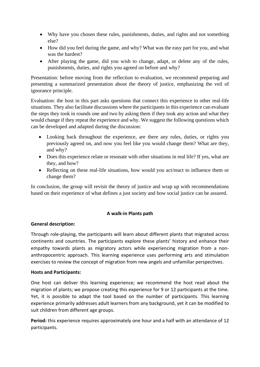- Why have you chosen these rules, punishments, duties, and rights and not something else?
- How did you feel during the game, and why? What was the easy part for you, and what was the hardest?
- After playing the game, did you wish to change, adapt, or delete any of the rules, punishments, duties, and rights you agreed on before and why?

Presentation: before moving from the reflection to evaluation, we recommend preparing and presenting a summarized presentation about the theory of justice, emphasizing the veil of ignorance principle.

Evaluation: the host in this part asks questions that connect this experience to other real-life situations. They also facilitate discussions where the participants in this experience can evaluate the steps they took in rounds one and two by asking them if they took any action and what they would change if they repeat the experience and why. We suggest the following questions which can be developed and adapted during the discussion:

- Looking back throughout the experience, are there any rules, duties, or rights you previously agreed on, and now you feel like you would change them? What are they, and why?
- Does this experience relate or resonate with other situations in real life? If yes, what are they, and how?
- Reflecting on these real-life situations, how would you act/react to influence them or change them?

In conclusion, the group will revisit the theory of justice and wrap up with recommendations based on their experience of what defines a just society and how social justice can be assured.

#### **A walk-in Plants path**

#### **General description:**

Through role-playing, the participants will learn about different plants that migrated across continents and countries. The participants explore these plants' history and enhance their empathy towards plants as migratory actors while experiencing migration from a nonanthropocentric approach. This learning experience uses performing arts and stimulation exercises to review the concept of migration from new angels and unfamiliar perspectives.

#### **Hosts and Participants:**

One host can deliver this learning experience; we recommend the host read about the migration of plants; we propose creating this experience for 9 or 12 participants at the time. Yet, it is possible to adapt the tool based on the number of participants. This learning experience primarily addresses adult learners from any background, yet it can be modified to suit children from different age groups.

**Period:** this experience requires approximately one hour and a half with an attendance of 12 participants.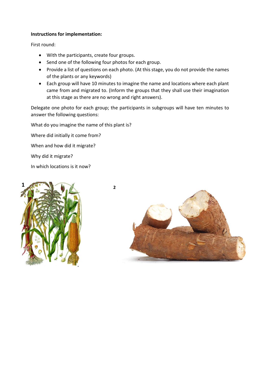#### **Instructions for implementation:**

First round:

- With the participants, create four groups.
- Send one of the following four photos for each group.
- Provide a list of questions on each photo. (At this stage, you do not provide the names of the plants or any keywords)
- Each group will have 10 minutes to imagine the name and locations where each plant came from and migrated to. (Inform the groups that they shall use their imagination at this stage as there are no wrong and right answers).

Delegate one photo for each group; the participants in subgroups will have ten minutes to answer the following questions:

What do you imagine the name of this plant is?

Where did initially it come from?

When and how did it migrate?

Why did it migrate?

In which locations is it now?